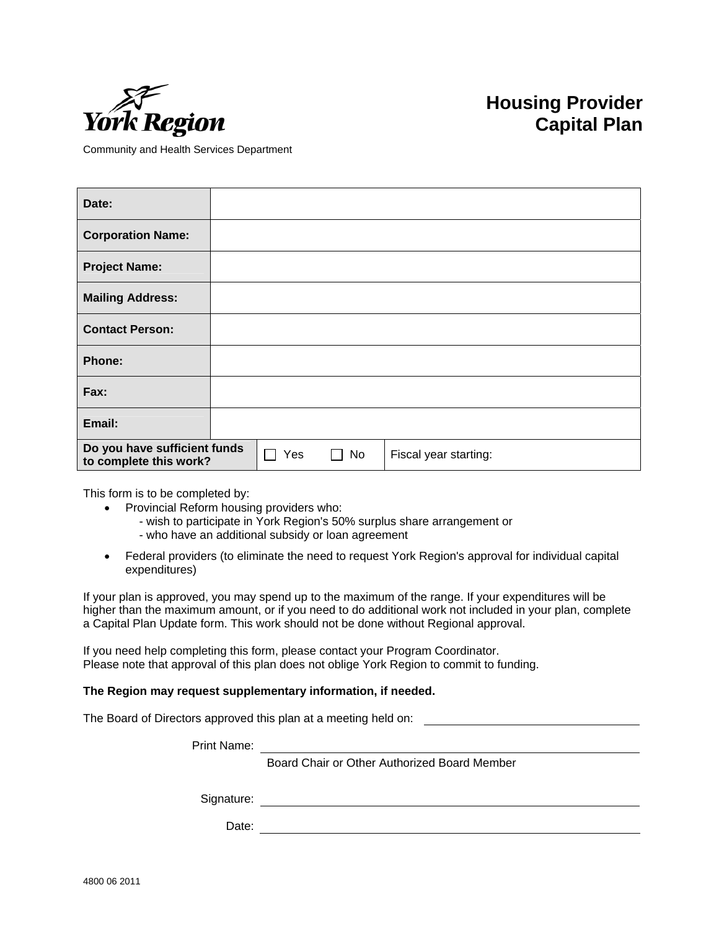

## **Housing Provider Capital Plan**

Community and Health Services Department

| Date:                                                  |  |     |    |                       |
|--------------------------------------------------------|--|-----|----|-----------------------|
| <b>Corporation Name:</b>                               |  |     |    |                       |
| <b>Project Name:</b>                                   |  |     |    |                       |
| <b>Mailing Address:</b>                                |  |     |    |                       |
| <b>Contact Person:</b>                                 |  |     |    |                       |
| <b>Phone:</b>                                          |  |     |    |                       |
| Fax:                                                   |  |     |    |                       |
| Email:                                                 |  |     |    |                       |
| Do you have sufficient funds<br>to complete this work? |  | Yes | No | Fiscal year starting: |

This form is to be completed by:

- Provincial Reform housing providers who:
	- wish to participate in York Region's 50% surplus share arrangement or
	- who have an additional subsidy or loan agreement
- Federal providers (to eliminate the need to request York Region's approval for individual capital expenditures)

If your plan is approved, you may spend up to the maximum of the range. If your expenditures will be higher than the maximum amount, or if you need to do additional work not included in your plan, complete a Capital Plan Update form. This work should not be done without Regional approval.

If you need help completing this form, please contact your Program Coordinator. Please note that approval of this plan does not oblige York Region to commit to funding.

## **The Region may request supplementary information, if needed.**

The Board of Directors approved this plan at a meeting held on:

Print Name:

Board Chair or Other Authorized Board Member

Signature: <u>example and the set of the set of the set of the set of the set of the set of the set of the set of the set of the set of the set of the set of the set of the set of the set of the set of the set of the set of </u>

Date:

4800 06 2011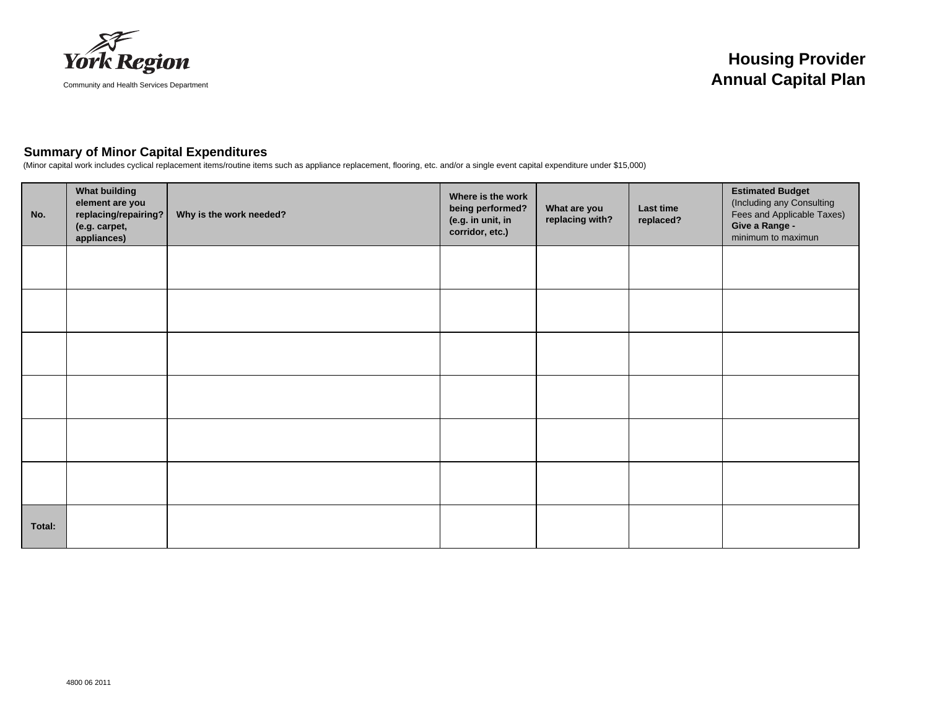

## **Summary of Minor Capital Expenditures**

(Minor capital work includes cyclical replacement items/routine items such as appliance replacement, flooring, etc. and/or a single event capital expenditure under \$15,000)

| No.    | <b>What building</b><br>element are you<br>replacing/repairing?<br>(e.g. carpet,<br>appliances) | Why is the work needed? | Where is the work<br>being performed?<br>(e.g. in unit, in<br>corridor, etc.) | What are you<br>replacing with? | Last time<br>replaced? | <b>Estimated Budget</b><br>(Including any Consulting<br>Fees and Applicable Taxes)<br>Give a Range -<br>minimum to maximun |
|--------|-------------------------------------------------------------------------------------------------|-------------------------|-------------------------------------------------------------------------------|---------------------------------|------------------------|----------------------------------------------------------------------------------------------------------------------------|
|        |                                                                                                 |                         |                                                                               |                                 |                        |                                                                                                                            |
|        |                                                                                                 |                         |                                                                               |                                 |                        |                                                                                                                            |
|        |                                                                                                 |                         |                                                                               |                                 |                        |                                                                                                                            |
|        |                                                                                                 |                         |                                                                               |                                 |                        |                                                                                                                            |
|        |                                                                                                 |                         |                                                                               |                                 |                        |                                                                                                                            |
|        |                                                                                                 |                         |                                                                               |                                 |                        |                                                                                                                            |
| Total: |                                                                                                 |                         |                                                                               |                                 |                        |                                                                                                                            |